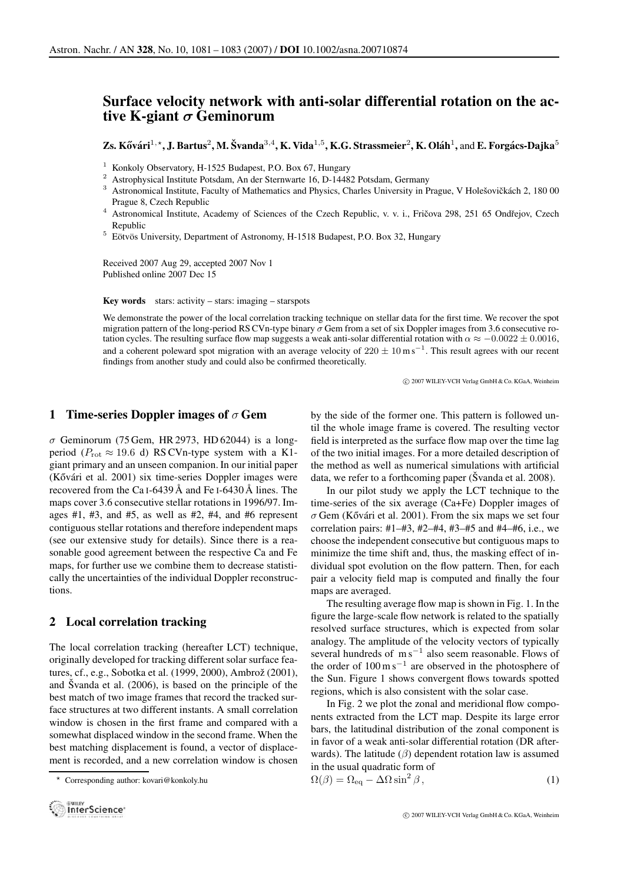# **Surface velocity network with anti-solar differential rotation on the active K-giant σ Geminorum**

**Zs. Kővári**<sup>1,\*</sup>, J. Bartus<sup>2</sup>, M. Švanda<sup>3,4</sup>, **K.** Vida<sup>1,5</sup>, K.G. Strassmeier<sup>2</sup>, K. Oláh<sup>1</sup>, and E. Forgács-Dajka<sup>5</sup>

- 
- 
- <sup>1</sup> Konkoly Observatory, H-1525 Budapest, P.O. Box 67, Hungary<br><sup>2</sup> Astrophysical Institute Potsdam, An der Sternwarte 16, D-14482 Potsdam, Germany<br><sup>3</sup> Astronomical Institute, Faculty of Mathematics and Physics, Charles Un Prague 8, Czech Republic<br><sup>4</sup> Astronomical Institute, Academy of Sciences of the Czech Republic, v. v. i., Fričova 298, 251 65 Ondřejov, Czech
- Republic<br><sup>5</sup> Eötvös University, Department of Astronomy, H-1518 Budapest, P.O. Box 32, Hungary
- 

Received 2007 Aug 29, accepted 2007 Nov 1 Published online 2007 Dec 15

Key words stars: activity – stars: imaging – starspots

We demonstrate the power of the local correlation tracking technique on stellar data for the first time. We recover the spot migration pattern of the long-period RS CVn-type binary  $\sigma$  Gem from a set of six Doppler images from 3.6 consecutive rotation cycles. The resulting surface flow map suggests a weak anti-solar differential rotation with  $\alpha \approx -0.0022 \pm 0.0016$ , and a coherent poleward spot migration with an average velocity of  $220 \pm 10$  ms<sup>-1</sup>. This result agrees with our recent findings from another study and could also be confirmed theoretically.

c 2007 WILEY-VCH Verlag GmbH & Co. KGaA, Weinheim

## **1 Time-series Doppler images of** σ **Gem**

 $\sigma$  Geminorum (75 Gem, HR 2973, HD 62044) is a longperiod ( $P_{\rm rot} \approx 19.6$  d) RS CVn-type system with a K1giant primary and an unseen companion. In our initial paper (Kővári et al. 2001) six time-series Doppler images were recovered from the Ca  $I$ -6439 Å and Fe  $I$ -6430 Å lines. The maps cover 3.6 consecutive stellar rotations in 1996/97. Images  $\#1$ ,  $\#3$ , and  $\#5$ , as well as  $\#2$ ,  $\#4$ , and  $\#6$  represent contiguous stellar rotations and therefore independent maps (see our extensive study for details). Since there is a reasonable good agreement between the respective Ca and Fe maps, for further use we combine them to decrease statistically the uncertainties of the individual Doppler reconstructions.

# **2 Local correlation tracking**

The local correlation tracking (hereafter LCT) technique, originally developed for tracking different solar surface features, cf., e.g., Sobotka et al. (1999, 2000), Ambrož (2001), and Švanda et al.  $(2006)$ , is based on the principle of the best match of two image frames that record the tracked surface structures at two different instants. A small correlation window is chosen in the first frame and compared with a somewhat displaced window in the second frame. When the best matching displacement is found, a vector of displacement is recorded, and a new correlation window is chosen

Corresponding author: kovari@konkoly.hu



by the side of the former one. This pattern is followed until the whole image frame is covered. The resulting vector field is interpreted as the surface flow map over the time lag of the two initial images. For a more detailed description of the method as well as numerical simulations with artificial data, we refer to a forthcoming paper ( $\text{\r{S}}$ vanda et al. 2008).

In our pilot study we apply the LCT technique to the time-series of the six average (Ca+Fe) Doppler images of  $\sigma$  Gem (Kővári et al. 2001). From the six maps we set four correlation pairs: #1–#3, #2–#4, #3–#5 and #4–#6, i.e., we choose the independent consecutive but contiguous maps to minimize the time shift and, thus, the masking effect of individual spot evolution on the flow pattern. Then, for each pair a velocity field map is computed and finally the four maps are averaged.

The resulting average flow map is shown in Fig. 1. In the figure the large-scale flow network is related to the spatially resolved surface structures, which is expected from solar analogy. The amplitude of the velocity vectors of typically several hundreds of  $\text{m s}^{-1}$  also seem reasonable. Flows of the order of  $100 \text{ m s}^{-1}$  are observed in the photosphere of the Sun. Figure 1 shows convergent flows towards spotted regions, which is also consistent with the solar case.

In Fig. 2 we plot the zonal and meridional flow components extracted from the LCT map. Despite its large error bars, the latitudinal distribution of the zonal component is in favor of a weak anti-solar differential rotation (DR afterwards). The latitude  $(\beta)$  dependent rotation law is assumed in the usual quadratic form of

$$
\Omega(\beta) = \Omega_{\text{eq}} - \Delta\Omega \sin^2 \beta, \qquad (1)
$$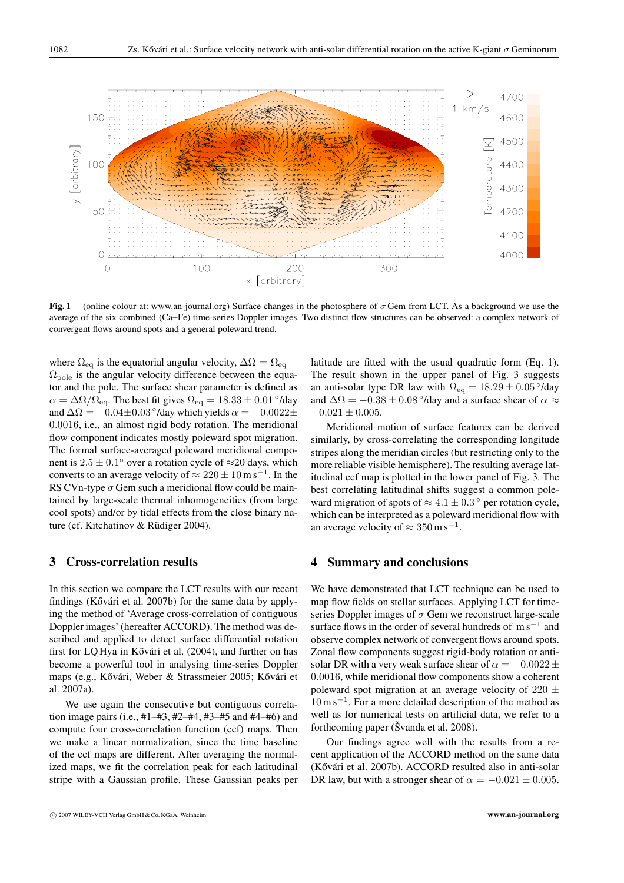

**Fig. 1** (online colour at: www.an-journal.org) Surface changes in the photosphere of σ Gem from LCT. As a background we use the average of the six combined (Ca+Fe) time-series Doppler images. Two distinct flow structures can be observed: a complex network of convergent flows around spots and a general poleward trend.

where  $\Omega_{\text{eq}}$  is the equatorial angular velocity,  $\Delta\Omega = \Omega_{\text{eq}}$  –  $\Omega_{\text{pole}}$  is the angular velocity difference between the equator and the pole. The surface shear parameter is defined as  $\alpha = \Delta\Omega/\Omega_{\text{eq}}$ . The best fit gives  $\Omega_{\text{eq}} = 18.33 \pm 0.01$ °/day and  $\Delta\Omega = -0.04 \pm 0.03$ °/day which yields  $\alpha = -0.0022 \pm$ 0.0016, i.e., an almost rigid body rotation. The meridional flow component indicates mostly poleward spot migration. The formal surface-averaged poleward meridional component is  $2.5 \pm 0.1^\circ$  over a rotation cycle of  $\approx$  20 days, which converts to an average velocity of  $\approx 220 \pm 10$  m s<sup>-1</sup>. In the RS CVn-type  $\sigma$  Gem such a meridional flow could be maintained by large-scale thermal inhomogeneities (from large cool spots) and/or by tidal effects from the close binary nature (cf. Kitchatinov & Rüdiger 2004).

#### **3 Cross-correlation results**

In this section we compare the LCT results with our recent findings (Kővári et al. 2007b) for the same data by applying the method of 'Average cross-correlation of contiguous Doppler images' (hereafter ACCORD). The method was described and applied to detect surface differential rotation first for LQ Hya in Kővári et al. (2004), and further on has become a powerful tool in analysing time-series Doppler maps (e.g., Kővári, Weber & Strassmeier 2005; Kővári et al. 2007a).

We use again the consecutive but contiguous correlation image pairs (i.e., #1–#3, #2–#4, #3–#5 and #4–#6) and compute four cross-correlation function (ccf) maps. Then we make a linear normalization, since the time baseline of the ccf maps are different. After averaging the normalized maps, we fit the correlation peak for each latitudinal stripe with a Gaussian profile. These Gaussian peaks per latitude are fitted with the usual quadratic form (Eq. 1). The result shown in the upper panel of Fig. 3 suggests an anti-solar type DR law with  $\Omega_{\text{eq}} = 18.29 \pm 0.05$ °/day and  $\Delta\Omega = -0.38 \pm 0.08$ °/day and a surface shear of  $\alpha \approx$  $-0.021 \pm 0.005$ .

Meridional motion of surface features can be derived similarly, by cross-correlating the corresponding longitude stripes along the meridian circles (but restricting only to the more reliable visible hemisphere). The resulting average latitudinal ccf map is plotted in the lower panel of Fig. 3. The best correlating latitudinal shifts suggest a common poleward migration of spots of  $\approx 4.1 \pm 0.3^{\circ}$  per rotation cycle, which can be interpreted as a poleward meridional flow with an average velocity of  $\approx 350 \,\mathrm{m\,s^{-1}}$ .

# **4 Summary and conclusions**

We have demonstrated that LCT technique can be used to map flow fields on stellar surfaces. Applying LCT for timeseries Doppler images of  $\sigma$  Gem we reconstruct large-scale surface flows in the order of several hundreds of m s<sup>-1</sup> and observe complex network of convergent flows around spots. Zonal flow components suggest rigid-body rotation or antisolar DR with a very weak surface shear of  $\alpha = -0.0022 \pm$ 0.0016, while meridional flow components show a coherent poleward spot migration at an average velocity of 220  $\pm$  $10 \text{ m s}^{-1}$ . For a more detailed description of the method as well as for numerical tests on artificial data, we refer to a forthcoming paper ( $\check{S}$ vanda et al. 2008).

Our findings agree well with the results from a recent application of the ACCORD method on the same data (Kővári et al. 2007b). ACCORD resulted also in anti-solar DR law, but with a stronger shear of  $\alpha = -0.021 \pm 0.005$ .